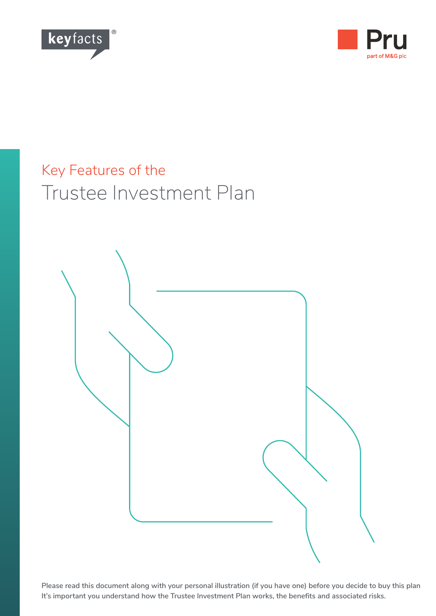



# Key Features of the Trustee Investment Plan



**Please read this document along with your personal illustration (if you have one) before you decide to buy this plan It's important you understand how the Trustee Investment Plan works, the benefits and associated risks.**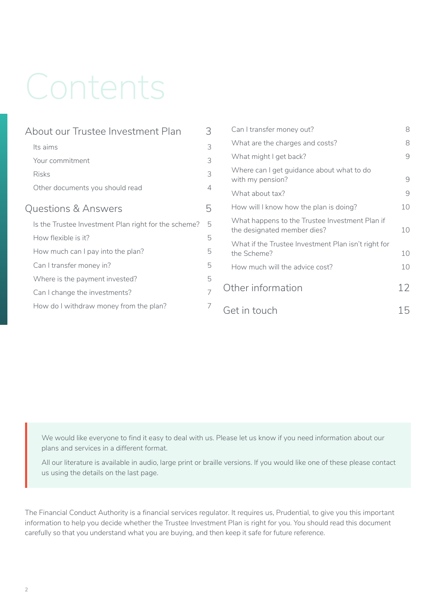# Contents

| About our Trustee Investment Plan                    | 3 |
|------------------------------------------------------|---|
| Its aims                                             | 3 |
| Your commitment                                      | 3 |
| <b>Risks</b>                                         | 3 |
| Other documents you should read                      | 4 |
| <b>Questions &amp; Answers</b>                       | 5 |
| Is the Trustee Investment Plan right for the scheme? | 5 |
| How flexible is it?                                  | 5 |
| How much can I pay into the plan?                    |   |
| Can I transfer money in?                             |   |
| Where is the payment invested?                       | 5 |
| Can I change the investments?                        | 7 |
| How do I withdraw money from the plan?               | 7 |
|                                                      |   |

| Can I transfer money out?                                                     | 8  |
|-------------------------------------------------------------------------------|----|
| What are the charges and costs?                                               |    |
| What might I get back?                                                        |    |
| Where can I get guidance about what to do<br>with my pension?                 | 9  |
| What about tax?                                                               | q  |
| How will I know how the plan is doing?                                        | 10 |
| What happens to the Trustee Investment Plan if<br>the designated member dies? | 10 |
| What if the Trustee Investment Plan isn't right for<br>the Scheme?            | 10 |
| How much will the advice cost?                                                | 10 |
| Other information                                                             | 12 |
| Get in touch                                                                  |    |

We would like everyone to find it easy to deal with us. Please let us know if you need information about our plans and services in a different format.

All our literature is available in audio, large print or braille versions. If you would like one of these please contact us using the details on the last page.

The Financial Conduct Authority is a financial services regulator. It requires us, Prudential, to give you this important information to help you decide whether the Trustee Investment Plan is right for you. You should read this document carefully so that you understand what you are buying, and then keep it safe for future reference.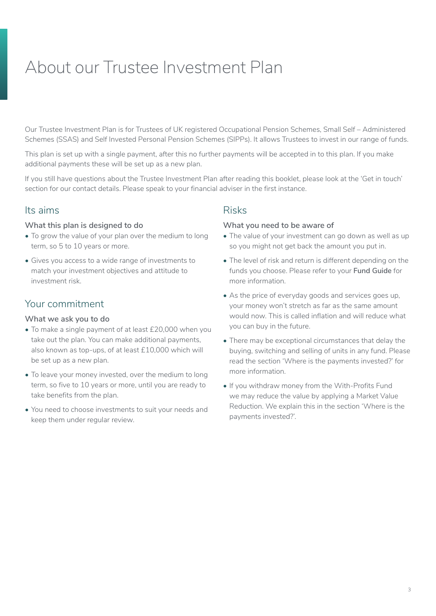# <span id="page-2-0"></span>About our Trustee Investment Plan

Our Trustee Investment Plan is for Trustees of UK registered Occupational Pension Schemes, Small Self – Administered Schemes (SSAS) and Self Invested Personal Pension Schemes (SIPPs). It allows Trustees to invest in our range of funds.

This plan is set up with a single payment, after this no further payments will be accepted in to this plan. If you make additional payments these will be set up as a new plan.

If you still have questions about the Trustee Investment Plan after reading this booklet, please look at the 'Get in touch' section for our contact details. Please speak to your financial adviser in the first instance.

### Its aims

#### **What this plan is designed to do**

- To grow the value of your plan over the medium to long term, so 5 to 10 years or more.
- Gives you access to a wide range of investments to match your investment objectives and attitude to investment risk.

### Your commitment

#### **What we ask you to do**

- To make a single payment of at least £20,000 when you take out the plan. You can make additional payments, also known as top-ups, of at least £10,000 which will be set up as a new plan.
- To leave your money invested, over the medium to long term, so five to 10 years or more, until you are ready to take benefits from the plan.
- You need to choose investments to suit your needs and keep them under regular review.

## Risks

#### **What you need to be aware of**

- The value of your investment can go down as well as up so you might not get back the amount you put in.
- The level of risk and return is different depending on the funds you choose. Please refer to your **Fund Guide** for more information.
- As the price of everyday goods and services goes up, your money won't stretch as far as the same amount would now. This is called inflation and will reduce what you can buy in the future.
- There may be exceptional circumstances that delay the buying, switching and selling of units in any fund. Please read the section 'Where is the payments invested?' for more information.
- If you withdraw money from the With-Profits Fund we may reduce the value by applying a Market Value Reduction. We explain this in the section 'Where is the payments invested?'.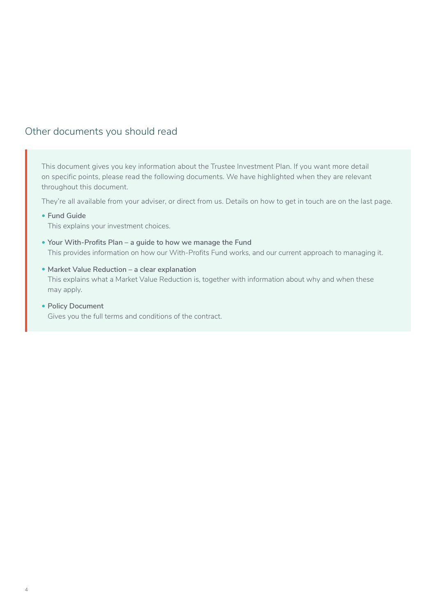# <span id="page-3-0"></span>Other documents you should read

This document gives you key information about the Trustee Investment Plan. If you want more detail on specific points, please read the following documents. We have highlighted when they are relevant throughout this document.

They're all available from your adviser, or direct from us. Details on how to get in touch are on the last page.

**• Fund Guide**

This explains your investment choices.

- **• Your With-Profits Plan a guide to how we manage the Fund** This provides information on how our With-Profits Fund works, and our current approach to managing it.
- **• Market Value Reduction a clear explanation** This explains what a Market Value Reduction is, together with information about why and when these may apply.
- **• Policy Document** Gives you the full terms and conditions of the contract.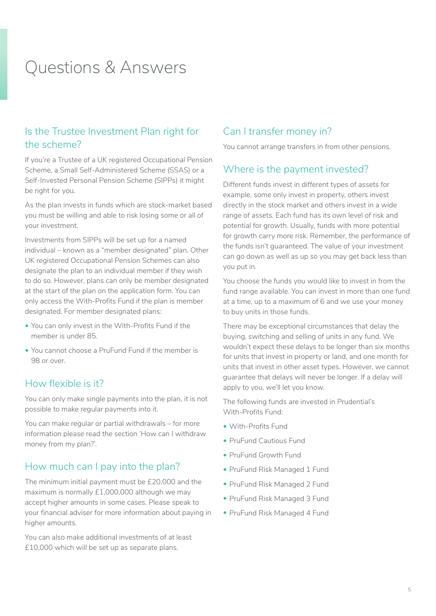# <span id="page-4-0"></span>Questions & Answers

# Is the Trustee Investment Plan right for the scheme?

If you're a Trustee of a UK registered Occupational Pension Scheme, a Small Self-Administered Scheme (SSAS) or a Self-Invested Personal Pension Scheme (SIPPs) it might be right for you.

As the plan invests in funds which are stock-market based you must be willing and able to risk losing some or all of your investment.

Investments from SIPPs will be set up for a named individual – known as a "member designated" plan. Other UK registered Occupational Pension Schemes can also designate the plan to an individual member if they wish to do so. However, plans can only be member designated at the start of the plan on the application form. You can only access the With-Profits Fund if the plan is member designated. For member designated plans:

- You can only invest in the With-Profits Fund if the member is under 85.
- You cannot choose a PruFund Fund if the member is 98 or over.

### How flexible is it?

You can only make single payments into the plan, it is not possible to make regular payments into it.

You can make regular or partial withdrawals – for more information please read the section 'How can I withdraw money from my plan?'.

# How much can I pay into the plan?

The minimum initial payment must be £20,000 and the maximum is normally £1,000,000 although we may accept higher amounts in some cases. Please speak to your financial adviser for more information about paying in higher amounts.

You can also make additional investments of at least £10,000 which will be set up as separate plans.

# Can I transfer money in?

You cannot arrange transfers in from other pensions.

### Where is the payment invested?

Different funds invest in different types of assets for example, some only invest in property, others invest directly in the stock market and others invest in a wide range of assets. Each fund has its own level of risk and potential for growth. Usually, funds with more potential for growth carry more risk. Remember, the performance of the funds isn't guaranteed. The value of your investment can go down as well as up so you may get back less than you put in.

You choose the funds you would like to invest in from the fund range available. You can invest in more than one fund at a time, up to a maximum of 6 and we use your money to buy units in those funds.

There may be exceptional circumstances that delay the buying, switching and selling of units in any fund. We wouldn't expect these delays to be longer than six months for units that invest in property or land, and one month for units that invest in other asset types. However, we cannot guarantee that delays will never be longer. If a delay will apply to you, we'll let you know.

The following funds are invested in Prudential's With-Profits Fund:

- With-Profits Fund
- PruFund Cautious Fund
- PruFund Growth Fund
- PruFund Risk Managed 1 Fund
- PruFund Risk Managed 2 Fund
- PruFund Risk Managed 3 Fund
- PruFund Risk Managed 4 Fund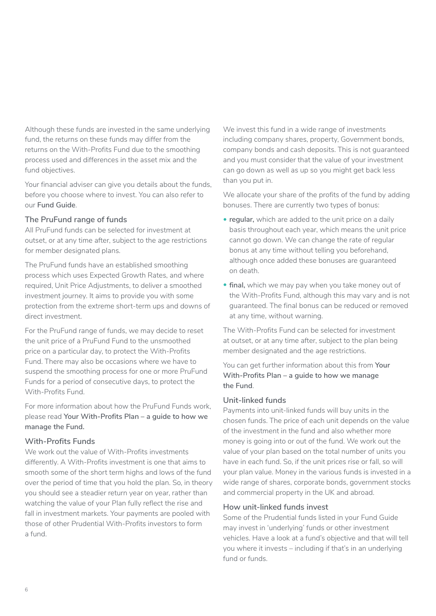Although these funds are invested in the same underlying fund, the returns on these funds may differ from the returns on the With-Profits Fund due to the smoothing process used and differences in the asset mix and the fund objectives.

Your financial adviser can give you details about the funds, before you choose where to invest. You can also refer to our **Fund Guide**.

#### **The PruFund range of funds**

All PruFund funds can be selected for investment at outset, or at any time after, subject to the age restrictions for member designated plans.

The PruFund funds have an established smoothing process which uses Expected Growth Rates, and where required, Unit Price Adjustments, to deliver a smoothed investment journey. It aims to provide you with some protection from the extreme short-term ups and downs of direct investment.

For the PruFund range of funds, we may decide to reset the unit price of a PruFund Fund to the unsmoothed price on a particular day, to protect the With-Profits Fund. There may also be occasions where we have to suspend the smoothing process for one or more PruFund Funds for a period of consecutive days, to protect the With-Profits Fund.

For more information about how the PruFund Funds work, please read **Your With-Profits Plan – a guide to how we manage the Fund.**

#### **With-Profits Funds**

We work out the value of With-Profits investments differently. A With-Profits investment is one that aims to smooth some of the short term highs and lows of the fund over the period of time that you hold the plan. So, in theory you should see a steadier return year on year, rather than watching the value of your Plan fully reflect the rise and fall in investment markets. Your payments are pooled with those of other Prudential With-Profits investors to form a fund.

We invest this fund in a wide range of investments including company shares, property, Government bonds, company bonds and cash deposits. This is not guaranteed and you must consider that the value of your investment can go down as well as up so you might get back less than you put in.

We allocate your share of the profits of the fund by adding bonuses. There are currently two types of bonus:

- **• regular,** which are added to the unit price on a daily basis throughout each year, which means the unit price cannot go down. We can change the rate of regular bonus at any time without telling you beforehand, although once added these bonuses are guaranteed on death.
- **• final,** which we may pay when you take money out of the With-Profits Fund, although this may vary and is not guaranteed. The final bonus can be reduced or removed at any time, without warning.

The With-Profits Fund can be selected for investment at outset, or at any time after, subject to the plan being member designated and the age restrictions.

You can get further information about this from **Your With-Profits Plan – a guide to how we manage the Fund**.

#### **Unit-linked funds**

Payments into unit-linked funds will buy units in the chosen funds. The price of each unit depends on the value of the investment in the fund and also whether more money is going into or out of the fund. We work out the value of your plan based on the total number of units you have in each fund. So, if the unit prices rise or fall, so will your plan value. Money in the various funds is invested in a wide range of shares, corporate bonds, government stocks and commercial property in the UK and abroad.

#### **How unit-linked funds invest**

Some of the Prudential funds listed in your Fund Guide may invest in 'underlying' funds or other investment vehicles. Have a look at a fund's objective and that will tell you where it invests – including if that's in an underlying fund or funds.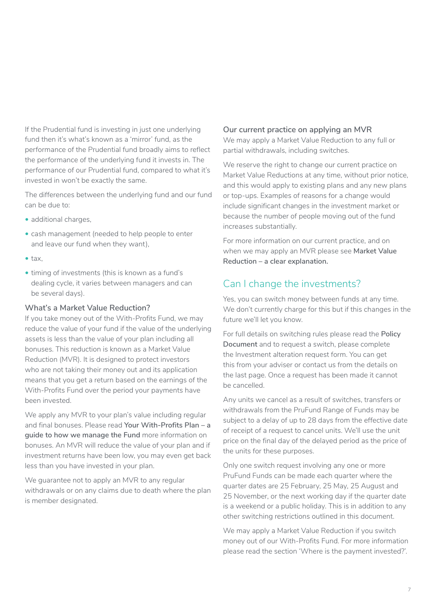<span id="page-6-0"></span>If the Prudential fund is investing in just one underlying fund then it's what's known as a 'mirror' fund, as the performance of the Prudential fund broadly aims to reflect the performance of the underlying fund it invests in. The performance of our Prudential fund, compared to what it's invested in won't be exactly the same.

The differences between the underlying fund and our fund can be due to:

- additional charges,
- cash management (needed to help people to enter and leave our fund when they want),
- tax,
- timing of investments (this is known as a fund's dealing cycle, it varies between managers and can be several days).

#### **What's a Market Value Reduction?**

If you take money out of the With-Profits Fund, we may reduce the value of your fund if the value of the underlying assets is less than the value of your plan including all bonuses. This reduction is known as a Market Value Reduction (MVR). It is designed to protect investors who are not taking their money out and its application means that you get a return based on the earnings of the With-Profits Fund over the period your payments have been invested.

We apply any MVR to your plan's value including regular and final bonuses. Please read **Your With-Profits Plan – a guide to how we manage the Fund** more information on bonuses. An MVR will reduce the value of your plan and if investment returns have been low, you may even get back less than you have invested in your plan.

We guarantee not to apply an MVR to any regular withdrawals or on any claims due to death where the plan is member designated.

#### **Our current practice on applying an MVR**

We may apply a Market Value Reduction to any full or partial withdrawals, including switches.

We reserve the right to change our current practice on Market Value Reductions at any time, without prior notice, and this would apply to existing plans and any new plans or top-ups. Examples of reasons for a change would include significant changes in the investment market or because the number of people moving out of the fund increases substantially.

For more information on our current practice, and on when we may apply an MVR please see **Market Value Reduction – a clear explanation.**

# Can I change the investments?

Yes, you can switch money between funds at any time. We don't currently charge for this but if this changes in the future we'll let you know.

For full details on switching rules please read the **Policy Document** and to request a switch, please complete the Investment alteration request form. You can get this from your adviser or contact us from the details on the last page. Once a request has been made it cannot be cancelled.

Any units we cancel as a result of switches, transfers or withdrawals from the PruFund Range of Funds may be subject to a delay of up to 28 days from the effective date of receipt of a request to cancel units. We'll use the unit price on the final day of the delayed period as the price of the units for these purposes.

Only one switch request involving any one or more PruFund Funds can be made each quarter where the quarter dates are 25 February, 25 May, 25 August and 25 November, or the next working day if the quarter date is a weekend or a public holiday. This is in addition to any other switching restrictions outlined in this document.

We may apply a Market Value Reduction if you switch money out of our With-Profits Fund. For more information please read the section 'Where is the payment invested?'.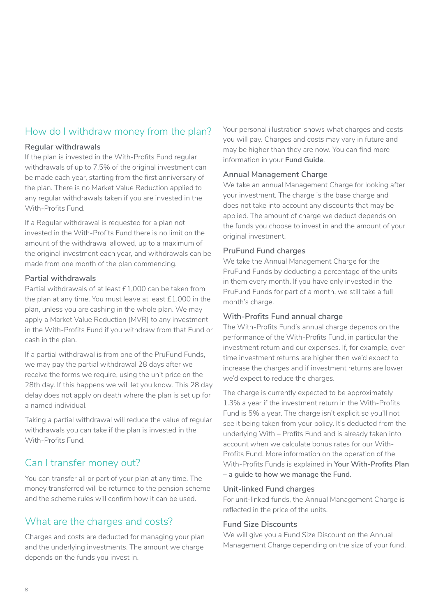# <span id="page-7-0"></span>How do I withdraw money from the plan?

#### **Regular withdrawals**

If the plan is invested in the With-Profits Fund regular withdrawals of up to 7.5% of the original investment can be made each year, starting from the first anniversary of the plan. There is no Market Value Reduction applied to any regular withdrawals taken if you are invested in the With-Profits Fund.

If a Regular withdrawal is requested for a plan not invested in the With-Profits Fund there is no limit on the amount of the withdrawal allowed, up to a maximum of the original investment each year, and withdrawals can be made from one month of the plan commencing.

#### **Partial withdrawals**

Partial withdrawals of at least £1,000 can be taken from the plan at any time. You must leave at least £1,000 in the plan, unless you are cashing in the whole plan. We may apply a Market Value Reduction (MVR) to any investment in the With-Profits Fund if you withdraw from that Fund or cash in the plan.

If a partial withdrawal is from one of the PruFund Funds, we may pay the partial withdrawal 28 days after we receive the forms we require, using the unit price on the 28th day. If this happens we will let you know. This 28 day delay does not apply on death where the plan is set up for a named individual.

Taking a partial withdrawal will reduce the value of regular withdrawals you can take if the plan is invested in the With-Profits Fund.

# Can I transfer money out?

You can transfer all or part of your plan at any time. The money transferred will be returned to the pension scheme and the scheme rules will confirm how it can be used.

# What are the charges and costs?

Charges and costs are deducted for managing your plan and the underlying investments. The amount we charge depends on the funds you invest in.

Your personal illustration shows what charges and costs you will pay. Charges and costs may vary in future and may be higher than they are now. You can find more information in your **Fund Guide**.

#### **Annual Management Charge**

We take an annual Management Charge for looking after your investment. The charge is the base charge and does not take into account any discounts that may be applied. The amount of charge we deduct depends on the funds you choose to invest in and the amount of your original investment.

#### **PruFund Fund charges**

We take the Annual Management Charge for the PruFund Funds by deducting a percentage of the units in them every month. If you have only invested in the PruFund Funds for part of a month, we still take a full month's charge.

#### **With-Profits Fund annual charge**

The With-Profits Fund's annual charge depends on the performance of the With-Profits Fund, in particular the investment return and our expenses. If, for example, over time investment returns are higher then we'd expect to increase the charges and if investment returns are lower we'd expect to reduce the charges.

The charge is currently expected to be approximately 1.3% a year if the investment return in the With-Profits Fund is 5% a year. The charge isn't explicit so you'll not see it being taken from your policy. It's deducted from the underlying With – Profits Fund and is already taken into account when we calculate bonus rates for our With-Profits Fund. More information on the operation of the With-Profits Funds is explained in **Your With-Profits Plan – a guide to how we manage the Fund**.

#### **Unit-linked Fund charges**

For unit-linked funds, the Annual Management Charge is reflected in the price of the units.

#### **Fund Size Discounts**

We will give you a Fund Size Discount on the Annual Management Charge depending on the size of your fund.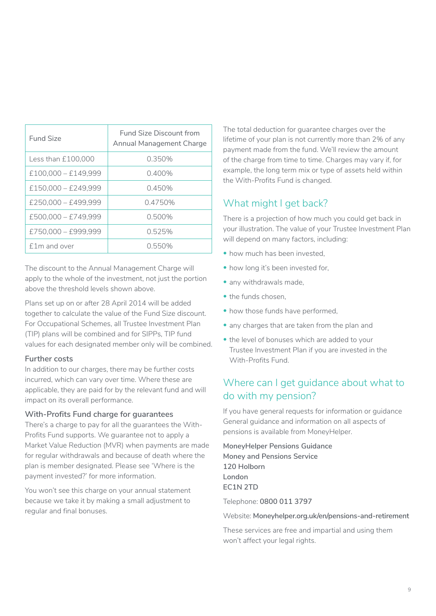<span id="page-8-0"></span>

| Fund Size             | <b>Fund Size Discount from</b><br><b>Annual Management Charge</b> |
|-----------------------|-------------------------------------------------------------------|
| Less than £100,000    | 0.350%                                                            |
| $£100,000 - £149,999$ | 0.400%                                                            |
| $£150.000 - £249.999$ | 0.450%                                                            |
| $£250,000 - £499,999$ | 0.4750%                                                           |
| £500.000 - £749.999   | 0.500%                                                            |
| £750.000 - £999.999   | 0.525%                                                            |
| f 1m and over         | 0.550%                                                            |

The discount to the Annual Management Charge will apply to the whole of the investment, not just the portion above the threshold levels shown above.

Plans set up on or after 28 April 2014 will be added together to calculate the value of the Fund Size discount. For Occupational Schemes, all Trustee Investment Plan (TIP) plans will be combined and for SIPPs, TIP fund values for each designated member only will be combined.

#### **Further costs**

In addition to our charges, there may be further costs incurred, which can vary over time. Where these are applicable, they are paid for by the relevant fund and will impact on its overall performance.

#### **With-Profits Fund charge for guarantees**

There's a charge to pay for all the guarantees the With-Profits Fund supports. We guarantee not to apply a Market Value Reduction (MVR) when payments are made for regular withdrawals and because of death where the plan is member designated. Please see 'Where is the payment invested?' for more information.

You won't see this charge on your annual statement because we take it by making a small adjustment to regular and final bonuses.

The total deduction for quarantee charges over the lifetime of your plan is not currently more than 2% of any payment made from the fund. We'll review the amount of the charge from time to time. Charges may vary if, for example, the long term mix or type of assets held within the With-Profits Fund is changed.

## What might I get back?

There is a projection of how much you could get back in your illustration. The value of your Trustee Investment Plan will depend on many factors, including:

- how much has been invested,
- how long it's been invested for,
- any withdrawals made,
- the funds chosen
- how those funds have performed,
- any charges that are taken from the plan and
- the level of bonuses which are added to your Trustee Investment Plan if you are invested in the With-Profits Fund.

# Where can I get guidance about what to do with my pension?

If you have general requests for information or guidance General guidance and information on all aspects of pensions is available from MoneyHelper.

**MoneyHelper Pensions Guidance Money and Pensions Service 120 Holborn London EC1N 2TD**

Telephone: **0800 011 3797**

Website: **[Moneyhelper.org.uk/en/pensions-and-retirement](http://Moneyhelper.org.uk/en/pensions-and-retirement)**

These services are free and impartial and using them won't affect your legal rights.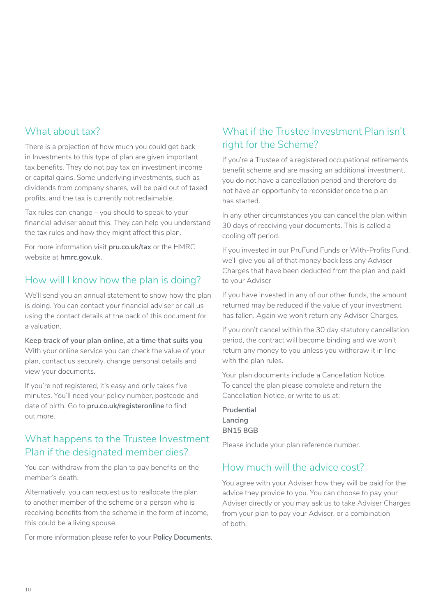# What about tax?

There is a projection of how much you could get back in Investments to this type of plan are given important tax benefits. They do not pay tax on investment income or capital gains. Some underlying investments, such as dividends from company shares, will be paid out of taxed profits, and the tax is currently not reclaimable.

Tax rules can change – you should to speak to your financial adviser about this. They can help you understand the tax rules and how they might affect this plan.

For more information visit **[pru.co.uk/tax](http://www.pru.co.uk/tax)** or the HMRC website at **[hmrc.gov.uk.](http://www.hmrc.gov.uk)**

# How will I know how the plan is doing?

We'll send you an annual statement to show how the plan is doing. You can contact your financial adviser or call us using the contact details at the back of this document for a valuation.

**Keep track of your plan online, at a time that suits you**  With your online service you can check the value of your plan, contact us securely, change personal details and view your documents.

If you're not registered, it's easy and only takes five minutes. You'll need your policy number, postcode and date of birth. Go to **[pru.co.uk/registeronline](https://www.pru.co.uk/registeronline)** to find out more.

# What happens to the Trustee Investment Plan if the designated member dies?

You can withdraw from the plan to pay benefits on the member's death.

Alternatively, you can request us to reallocate the plan to another member of the scheme or a person who is receiving benefits from the scheme in the form of income, this could be a living spouse.

For more information please refer to your **Policy Documents.**

# What if the Trustee Investment Plan isn't right for the Scheme?

If you're a Trustee of a registered occupational retirements benefit scheme and are making an additional investment, you do not have a cancellation period and therefore do not have an opportunity to reconsider once the plan has started.

In any other circumstances you can cancel the plan within 30 days of receiving your documents. This is called a cooling off period.

If you invested in our PruFund Funds or With-Profits Fund, we'll give you all of that money back less any Adviser Charges that have been deducted from the plan and paid to your Adviser

If you have invested in any of our other funds, the amount returned may be reduced if the value of your investment has fallen. Again we won't return any Adviser Charges.

If you don't cancel within the 30 day statutory cancellation period, the contract will become binding and we won't return any money to you unless you withdraw it in line with the plan rules.

Your plan documents include a Cancellation Notice. To cancel the plan please complete and return the Cancellation Notice, or write to us at:

**Prudential Lancing BN15 8GB**

Please include your plan reference number.

# How much will the advice cost?

You agree with your Adviser how they will be paid for the advice they provide to you. You can choose to pay your Adviser directly or you may ask us to take Adviser Charges from your plan to pay your Adviser, or a combination of both.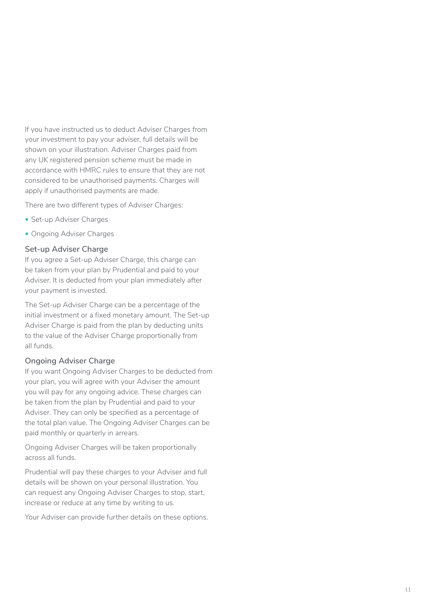If you have instructed us to deduct Adviser Charges from your investment to pay your adviser, full details will be shown on your illustration. Adviser Charges paid from any UK registered pension scheme must be made in accordance with HMRC rules to ensure that they are not considered to be unauthorised payments. Charges will apply if unauthorised payments are made.

There are two different types of Adviser Charges:

- Set-up Adviser Charges
- Ongoing Adviser Charges

#### **Set-up Adviser Charge**

If you agree a Set-up Adviser Charge, this charge can be taken from your plan by Prudential and paid to your Adviser. It is deducted from your plan immediately after your payment is invested.

The Set-up Adviser Charge can be a percentage of the initial investment or a fixed monetary amount. The Set-up Adviser Charge is paid from the plan by deducting units to the value of the Adviser Charge proportionally from all funds.

#### **Ongoing Adviser Charge**

If you want Ongoing Adviser Charges to be deducted from your plan, you will agree with your Adviser the amount you will pay for any ongoing advice. These charges can be taken from the plan by Prudential and paid to your Adviser. They can only be specified as a percentage of the total plan value. The Ongoing Adviser Charges can be paid monthly or quarterly in arrears.

Ongoing Adviser Charges will be taken proportionally across all funds.

Prudential will pay these charges to your Adviser and full details will be shown on your personal illustration. You can request any Ongoing Adviser Charges to stop, start, increase or reduce at any time by writing to us.

Your Adviser can provide further details on these options.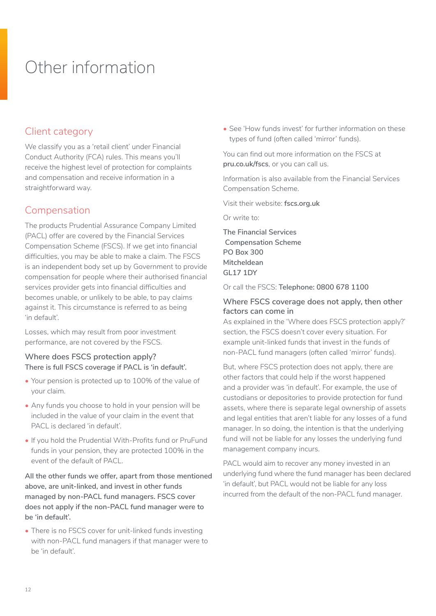# <span id="page-11-0"></span>Other information

# Client category

We classify you as a 'retail client' under Financial Conduct Authority (FCA) rules. This means you'll receive the highest level of protection for complaints and compensation and receive information in a straightforward way.

# Compensation

The products Prudential Assurance Company Limited (PACL) offer are covered by the Financial Services Compensation Scheme (FSCS). If we get into financial difficulties, you may be able to make a claim. The FSCS is an independent body set up by Government to provide compensation for people where their authorised financial services provider gets into financial difficulties and becomes unable, or unlikely to be able, to pay claims against it. This circumstance is referred to as being 'in default'.

Losses, which may result from poor investment performance, are not covered by the FSCS.

#### **Where does FSCS protection apply? There is full FSCS coverage if PACL is 'in default'.**

- Your pension is protected up to 100% of the value of your claim.
- Any funds you choose to hold in your pension will be included in the value of your claim in the event that PACL is declared 'in default'.
- If you hold the Prudential With-Profits fund or PruFund funds in your pension, they are protected 100% in the event of the default of PACL.

**All the other funds we offer, apart from those mentioned above, are unit-linked, and invest in other funds managed by non-PACL fund managers. FSCS cover does not apply if the non-PACL fund manager were to be 'in default'.** 

• There is no FSCS cover for unit-linked funds investing with non-PACL fund managers if that manager were to be 'in default'.

• See 'How funds invest' for further information on these types of fund (often called 'mirror' funds).

You can find out more information on the FSCS at **pru.co.uk/fscs**, or you can call us.

Information is also available from the Financial Services Compensation Scheme.

Visit their website: **fscs.org.uk**

Or write to:

**The Financial Services Compensation Scheme PO Box 300 Mitcheldean GL17 1DY** 

Or call the FSCS: **Telephone: 0800 678 1100** 

#### **Where FSCS coverage does not apply, then other factors can come in**

As explained in the 'Where does FSCS protection apply?' section, the FSCS doesn't cover every situation. For example unit-linked funds that invest in the funds of non-PACL fund managers (often called 'mirror' funds).

But, where FSCS protection does not apply, there are other factors that could help if the worst happened and a provider was 'in default'. For example, the use of custodians or depositories to provide protection for fund assets, where there is separate legal ownership of assets and legal entities that aren't liable for any losses of a fund manager. In so doing, the intention is that the underlying fund will not be liable for any losses the underlying fund management company incurs.

PACL would aim to recover any money invested in an underlying fund where the fund manager has been declared 'in default', but PACL would not be liable for any loss incurred from the default of the non-PACL fund manager.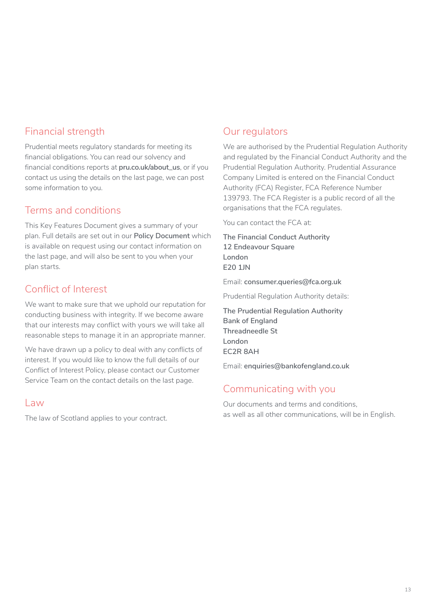# Financial strength

Prudential meets regulatory standards for meeting its financial obligations. You can read our solvency and financial conditions reports at **[pru.co.uk/about\\_us](http://pru.co.uk/about_us)**, or if you contact us using the details on the last page, we can post some information to you.

# Terms and conditions

This Key Features Document gives a summary of your plan. Full details are set out in our **Policy Document** which is available on request using our contact information on the last page, and will also be sent to you when your plan starts.

# Conflict of Interest

We want to make sure that we uphold our reputation for conducting business with integrity. If we become aware that our interests may conflict with yours we will take all reasonable steps to manage it in an appropriate manner.

We have drawn up a policy to deal with any conflicts of interest. If you would like to know the full details of our Conflict of Interest Policy, please contact our Customer Service Team on the contact details on the last page.

#### Law

The law of Scotland applies to your contract.

# Our regulators

We are authorised by the Prudential Regulation Authority and regulated by the Financial Conduct Authority and the Prudential Regulation Authority. Prudential Assurance Company Limited is entered on the Financial Conduct Authority (FCA) Register, FCA Reference Number 139793. The FCA Register is a public record of all the organisations that the FCA regulates.

You can contact the FCA at:

**The Financial Conduct Authority 12 Endeavour Square London E20 1JN**

Email: **consumer.queries@fca.org.uk** 

Prudential Regulation Authority details:

**The Prudential Regulation Authority Bank of England Threadneedle St London EC2R 8AH** 

Email: **enquiries@bankofengland.co.uk**

# Communicating with you

Our documents and terms and conditions, as well as all other communications, will be in English.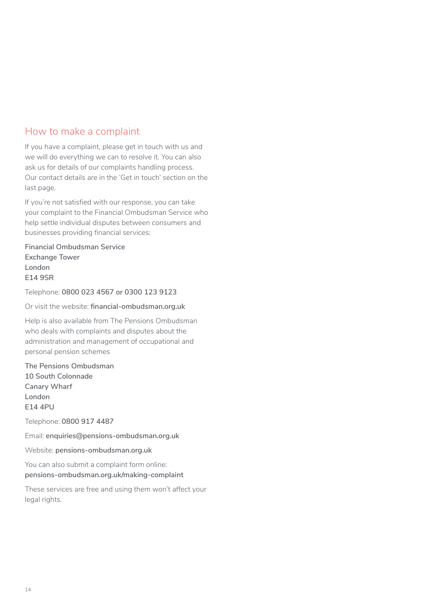# How to make a complaint

If you have a complaint, please get in touch with us and we will do everything we can to resolve it. You can also ask us for details of our complaints handling process. Our contact details are in the 'Get in touch' section on the last page.

If you're not satisfied with our response, you can take your complaint to the Financial Ombudsman Service who help settle individual disputes between consumers and businesses providing financial services:

**Financial Ombudsman Service Exchange Tower London E14 9SR**

Telephone: **0800 023 4567 or 0300 123 9123**

Or visit the website: **[financial-ombudsman.org.uk](https://www.financial-ombudsman.org.uk)**

Help is also available from The Pensions Ombudsman who deals with complaints and disputes about the administration and management of occupational and personal pension schemes

**The Pensions Ombudsman 10 South Colonnade Canary Wharf London E14 4PU**

Telephone: **0800 917 4487**

Email: **[enquiries@pensions-ombudsman.org.uk](http://enquiries@pensions-ombudsman.org.uk)**

Website: **[pensions-ombudsman.org.uk](https://www.pensions-ombudsman.org.uk)**

You can also submit a complaint form online: **[pensions-ombudsman.org.uk/making-complaint](http://www.pensions-ombudsman.org.uk/making-complaint)**

These services are free and using them won't affect your legal rights.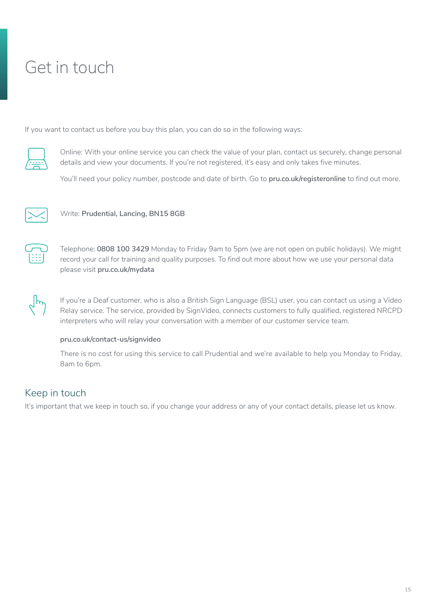# <span id="page-14-0"></span>Get in touch

If you want to contact us before you buy this plan, you can do so in the following ways:



Online: With your online service you can check the value of your plan, contact us securely, change personal details and view your documents. If you're not registered, it's easy and only takes five minutes.

You'll need your policy number, postcode and date of birth. Go to **[pru.co.uk/registeronline](https://www.pru.co.uk/registeronline)** to find out more.



Write: Prudential, Lancing, BN15 8GB



Telephone: **0808 100 3429** Monday to Friday 9am to 5pm (we are not open on public holidays). We might record your call for training and quality purposes. To find out more about how we use your personal data please visit **[pru.co.uk/mydata](https://www.pru.co.uk/mydata)**



If you're a Deaf customer, who is also a British Sign Language (BSL) user, you can contact us using a Video Relay service. The service, provided by SignVideo, connects customers to fully qualified, registered NRCPD interpreters who will relay your conversation with a member of our customer service team.

#### **[pru.co.uk/contact-us/signvideo](https://www.pru.co.uk/contact-us/signvideo)**

There is no cost for using this service to call Prudential and we're available to help you Monday to Friday, 8am to 6pm.

# Keep in touch

It's important that we keep in touch so, if you change your address or any of your contact details, please let us know.